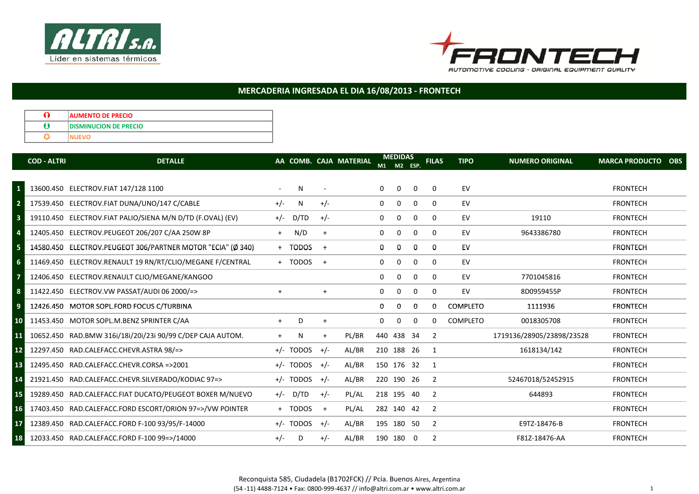



## MERCADERIA INGRESADA EL DIA 16/08/2013 - FRONTECH

| <b>AUMENTO DE PRECIO</b>      |
|-------------------------------|
| <b>IDISMINUCION DE PRECIO</b> |
|                               |

|                         | <b>COD - ALTRI</b> | <b>DETALLE</b>                                              |           |             |       | AA COMB. CAJA MATERIAL | M1           | <b>MEDIDAS</b><br>M2 | ESP.                    | <b>FILAS</b>   | <b>TIPO</b>     | <b>NUMERO ORIGINAL</b>    | <b>MARCA PRODUCTO</b><br><b>OBS</b> |
|-------------------------|--------------------|-------------------------------------------------------------|-----------|-------------|-------|------------------------|--------------|----------------------|-------------------------|----------------|-----------------|---------------------------|-------------------------------------|
|                         |                    |                                                             |           |             |       |                        |              |                      |                         |                |                 |                           |                                     |
| $\mathbf{1}$            |                    | 13600.450 ELECTROV.FIAT 147/128 1100                        |           | N           |       |                        | $\bf{0}$     | $\mathbf{0}$         | 0                       | $\Omega$       | EV              |                           | <b>FRONTECH</b>                     |
| $\overline{\mathbf{2}}$ |                    | 17539.450 ELECTROV.FIAT DUNA/UNO/147 C/CABLE                | $+/-$     | N.          | $+/-$ |                        | $\Omega$     | $\mathbf 0$          | 0                       | $\Omega$       | EV              |                           | <b>FRONTECH</b>                     |
| $\overline{\mathbf{3}}$ |                    | 19110.450 ELECTROV.FIAT PALIO/SIENA M/N D/TD (F.OVAL) (EV)  | $+/-$     | D/TD        | $+/-$ |                        | $\mathbf{0}$ | 0                    | $\Omega$                | $\Omega$       | EV              | 19110                     | <b>FRONTECH</b>                     |
| $\overline{4}$          |                    | 12405.450 ELECTROV.PEUGEOT 206/207 C/AA 250W 8P             | $+$       | N/D         | $+$   |                        | $\mathbf{0}$ | 0                    | 0                       | $\mathbf 0$    | EV              | 9643386780                | <b>FRONTECH</b>                     |
| $\overline{\mathbf{5}}$ |                    | 14580.450 ELECTROV.PEUGEOT 306/PARTNER MOTOR "ECIA" (Ø 340) |           | + TODOS     | $+$   |                        | 0            | 0                    | $\Omega$                | $\Omega$       | EV              |                           | <b>FRONTECH</b>                     |
| $6\phantom{1}6$         |                    | 11469.450 ELECTROV.RENAULT 19 RN/RT/CLIO/MEGANE F/CENTRAL   |           | + TODOS     | $+$   |                        | $\Omega$     | 0                    | $\Omega$                | $\Omega$       | EV              |                           | <b>FRONTECH</b>                     |
| $\overline{7}$          |                    | 12406.450 ELECTROV.RENAULT CLIO/MEGANE/KANGOO               |           |             |       |                        | $\mathbf{0}$ | $\mathbf 0$          | $\mathbf 0$             | $\mathbf 0$    | EV              | 7701045816                | <b>FRONTECH</b>                     |
| $\boldsymbol{8}$        |                    | 11422.450 ELECTROV.VW PASSAT/AUDI 06 2000/=>                | $\ddot{}$ |             | $+$   |                        | $\Omega$     | $\Omega$             | 0                       | 0              | EV              | 8D0959455P                | <b>FRONTECH</b>                     |
| $\overline{9}$          |                    | 12426.450 MOTOR SOPL.FORD FOCUS C/TURBINA                   |           |             |       |                        | 0            | $\Omega$             | $\Omega$                | $\Omega$       | <b>COMPLETO</b> | 1111936                   | <b>FRONTECH</b>                     |
| 10                      |                    | 11453.450 MOTOR SOPL.M.BENZ SPRINTER C/AA                   | $+$       | D           | $+$   |                        | $\Omega$     | $\mathbf 0$          | $\Omega$                | $\Omega$       | <b>COMPLETO</b> | 0018305708                | <b>FRONTECH</b>                     |
| 11                      |                    | 10652.450 RAD.BMW 316i/18i/20i/23i 90/99 C/DEP CAJA AUTOM.  | $+$       | N           | $+$   | PL/BR                  |              | 440 438 34           |                         | -2             |                 | 1719136/28905/23898/23528 | <b>FRONTECH</b>                     |
| $12$                    |                    | 12297.450 RAD.CALEFACC.CHEVR.ASTRA 98/=>                    |           | $+/-$ TODOS | $+/-$ | AL/BR                  |              | 210 188 26           |                         | $\overline{1}$ |                 | 1618134/142               | <b>FRONTECH</b>                     |
| 13                      |                    | 12495.450 RAD.CALEFACC.CHEVR.CORSA=>2001                    |           | $+/-$ TODOS | $+/-$ | AL/BR                  |              | 150 176 32           |                         | - 1            |                 |                           | <b>FRONTECH</b>                     |
| 14                      |                    | 21921.450 RAD.CALEFACC.CHEVR.SILVERADO/KODIAC 97=>          |           | $+/-$ TODOS | $+/-$ | AL/BR                  |              | 220 190 26           |                         | $\overline{2}$ |                 | 52467018/52452915         | <b>FRONTECH</b>                     |
| 15                      |                    | 19289.450 RAD.CALEFACC.FIAT DUCATO/PEUGEOT BOXER M/NUEVO    |           | $+/-$ D/TD  | $+/-$ | PL/AL                  |              | 218 195 40           |                         | $\overline{2}$ |                 | 644893                    | <b>FRONTECH</b>                     |
| 16                      |                    | 17403.450 RAD.CALEFACC.FORD ESCORT/ORION 97=>/VW POINTER    |           | + TODOS     | $+$   | PL/AL                  |              | 282 140 42           |                         | -2             |                 |                           | <b>FRONTECH</b>                     |
| 17                      |                    | 12389.450 RAD.CALEFACC.FORD F-100 93/95/F-14000             |           | $+/-$ TODOS | $+/-$ | AL/BR                  |              | 195 180 50           |                         | $\overline{2}$ |                 | E9TZ-18476-B              | <b>FRONTECH</b>                     |
| 18                      |                    | 12033.450 RAD.CALEFACC.FORD F-100 99=>/14000                | $+/-$     | D           | $+/-$ | AL/BR                  |              | 190 180              | $\overline{\mathbf{0}}$ | 2              |                 | F81Z-18476-AA             | <b>FRONTECH</b>                     |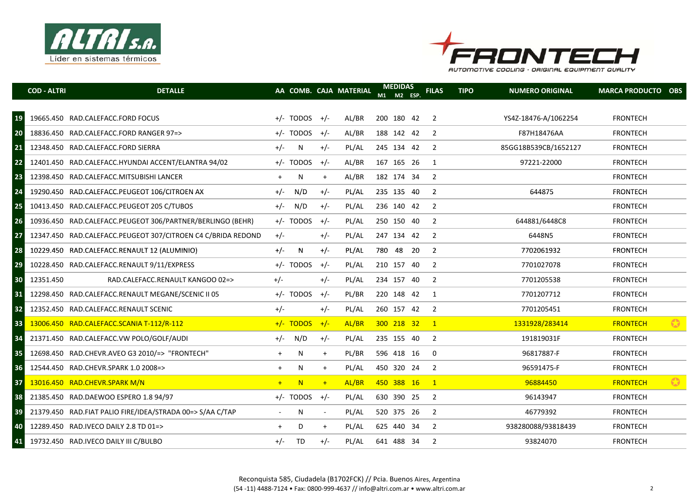



|                 | <b>COD - ALTRI</b> | <b>DETALLE</b>                                               |           |                   |                | AA COMB. CAJA MATERIAL | <b>MEDIDAS</b><br>M1 M2 ESP. | <b>FILAS</b>             | <b>TIPO</b> | <b>NUMERO ORIGINAL</b> | <b>MARCA PRODUCTO OBS</b> |           |
|-----------------|--------------------|--------------------------------------------------------------|-----------|-------------------|----------------|------------------------|------------------------------|--------------------------|-------------|------------------------|---------------------------|-----------|
| 19              |                    | 19665.450 RAD.CALEFACC.FORD FOCUS                            |           | $+/-$ TODOS $+/-$ |                | AL/BR                  | 200 180 42                   | 2                        |             | YS4Z-18476-A/1062254   | <b>FRONTECH</b>           |           |
| 20              |                    | 18836.450 RAD.CALEFACC.FORD RANGER 97=>                      |           | +/- TODOS         | $+/-$          | AL/BR                  | 188 142 42                   | 2                        |             | F87H18476AA            | <b>FRONTECH</b>           |           |
| 21              |                    | 12348.450 RAD.CALEFACC.FORD SIERRA                           | $+/-$     | N                 | $+/-$          | PL/AL                  | 245 134 42                   | 2                        |             | 85GG18B539CB/1652127   | <b>FRONTECH</b>           |           |
| 22              |                    | 12401.450 RAD.CALEFACC.HYUNDAI ACCENT/ELANTRA 94/02          |           | $+/-$ TODOS       | $+/-$          | AL/BR                  | 167 165 26                   | $\overline{1}$           |             | 97221-22000            | <b>FRONTECH</b>           |           |
| 23              |                    | 12398.450 RAD.CALEFACC.MITSUBISHI LANCER                     | $\ddot{}$ | Ν                 | $+$            | AL/BR                  | 182 174 34                   | 2                        |             |                        | <b>FRONTECH</b>           |           |
| 24              |                    | 19290.450 RAD.CALEFACC.PEUGEOT 106/CITROEN AX                | $+/-$     | N/D               | $+/-$          | PL/AL                  | 235 135 40                   | 2                        |             | 644875                 | <b>FRONTECH</b>           |           |
| 25              |                    | 10413.450 RAD.CALEFACC.PEUGEOT 205 C/TUBOS                   | $+/-$     | N/D               | $+/-$          | PL/AL                  | 236 140 42                   | $\overline{2}$           |             |                        | <b>FRONTECH</b>           |           |
| 26              |                    | 10936.450 RAD.CALEFACC.PEUGEOT 306/PARTNER/BERLINGO (BEHR)   |           | $+/-$ TODOS       | $+/-$          | PL/AL                  | 250 150 40                   | $\overline{2}$           |             | 644881/6448C8          | <b>FRONTECH</b>           |           |
| 27              |                    | 12347.450 RAD.CALEFACC.PEUGEOT 307/CITROEN C4 C/BRIDA REDOND | $+/-$     |                   | $+/-$          | PL/AL                  | 247 134 42                   | $\overline{2}$           |             | 6448N5                 | <b>FRONTECH</b>           |           |
|                 |                    |                                                              |           |                   |                |                        |                              |                          |             |                        |                           |           |
| 28              |                    | 10229.450 RAD.CALEFACC.RENAULT 12 (ALUMINIO)                 | $+/-$     | N                 | $+/-$          | PL/AL                  | 780 48 20                    | $\overline{2}$           |             | 7702061932             | <b>FRONTECH</b>           |           |
| 29              |                    | 10228.450 RAD.CALEFACC.RENAULT 9/11/EXPRESS                  |           | $+/-$ TODOS       | $+/-$          | PL/AL                  | 210 157 40                   | $\overline{2}$           |             | 7701027078             | <b>FRONTECH</b>           |           |
| 30 <sup>°</sup> | 12351.450          | RAD.CALEFACC.RENAULT KANGOO 02=>                             | $+/-$     |                   | $+/-$          | PL/AL                  | 234 157 40                   | $\overline{2}$           |             | 7701205538             | <b>FRONTECH</b>           |           |
| 31              |                    | 12298.450 RAD.CALEFACC.RENAULT MEGANE/SCENIC II 05           |           | $+/-$ TODOS       | $+/-$          | PL/BR                  | 220 148 42                   | $\overline{1}$           |             | 7701207712             | <b>FRONTECH</b>           |           |
| 32              |                    | 12352.450 RAD.CALEFACC.RENAULT SCENIC                        | $+/-$     |                   | $+/-$          | PL/AL                  | 260 157 42                   | $\overline{2}$           |             | 7701205451             | <b>FRONTECH</b>           |           |
| 33              |                    | 13006.450 RAD.CALEFACC.SCANIA T-112/R-112                    |           | $+/-$ TODOS       | $+/-$          | AL/BR                  | 300 218 32 1                 |                          |             | 1331928/283414         | <b>FRONTECH</b>           | $\bullet$ |
| 34              |                    | 21371.450 RAD.CALEFACC.VW POLO/GOLF/AUDI                     | $+/-$     | N/D               | $+/-$          | PL/AL                  | 235 155 40                   | $\overline{\phantom{0}}$ |             | 191819031F             | <b>FRONTECH</b>           |           |
| 35              |                    | 12698.450 RAD.CHEVR.AVEO G3 2010/=> "FRONTECH"               | $\ddot{}$ | N                 | $+$            | PL/BR                  | 596 418 16                   | $\overline{0}$           |             | 96817887-F             | <b>FRONTECH</b>           |           |
| 36              |                    | 12544.450 RAD.CHEVR.SPARK 1.0 2008=>                         | $\ddot{}$ | N                 | $\ddot{}$      | PL/AL                  | 450 320 24                   | 2                        |             | 96591475-F             | <b>FRONTECH</b>           |           |
| 37 <sup>1</sup> |                    | 13016.450 RAD.CHEVR.SPARK M/N                                | $+$       | N                 | $+$            | AL/BR                  | 450 388 16                   | $\blacksquare$ 1         |             | 96884450               | <b>FRONTECH</b>           | $\bullet$ |
| 38              |                    | 21385.450 RAD.DAEWOO ESPERO 1.8 94/97                        |           | $+/-$ TODOS       | $+/-$          | PL/AL                  | 630 390 25                   | - 2                      |             | 96143947               | <b>FRONTECH</b>           |           |
| 39              |                    | 21379.450 RAD. FIAT PALIO FIRE/IDEA/STRADA 00=> S/AA C/TAP   |           | N                 | $\blacksquare$ | PL/AL                  | 520 375 26                   | - 2                      |             | 46779392               | <b>FRONTECH</b>           |           |
| 40              |                    | 12289.450 RAD.IVECO DAILY 2.8 TD 01=>                        | $+$       | D                 | $+$            | PL/AL                  | 625 440 34                   | -2                       |             | 938280088/93818439     | <b>FRONTECH</b>           |           |
| 41              |                    | 19732.450 RAD.IVECO DAILY III C/BULBO                        | $+/-$     | TD                | $+/-$          | PL/AL                  | 641 488 34                   | 2                        |             | 93824070               | <b>FRONTECH</b>           |           |